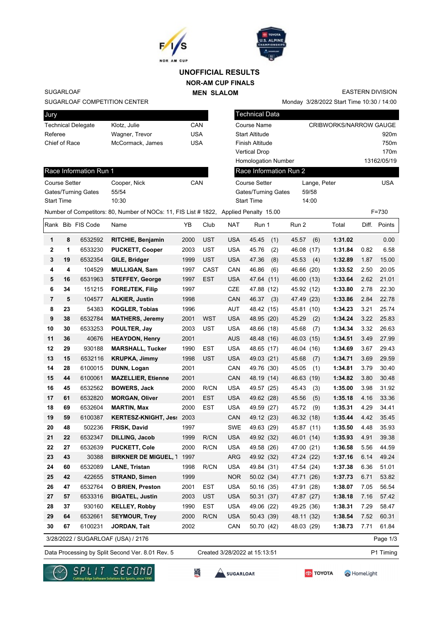



# **NOR-AM CUP FINALS MEN SLALOM UNOFFICIAL RESULTS**

SUGARLOAF

#### SUGARLOAF COMPETITION CENTER

Race Information Run 1

Gates/Turning Gates 55/54 Start Time 10:30

| Jury                      |                  |     |
|---------------------------|------------------|-----|
| <b>Technical Delegate</b> | Klotz. Julie     | CAN |
| Referee                   | Wagner, Trevor   | USA |
| Chief of Race             | McCormack, James | USA |
|                           |                  |     |

Course Setter Cooper, Nick CAN

| <b>Technical Data</b>      |                               |
|----------------------------|-------------------------------|
| Course Name                | <b>CRIBWORKS/NARROW GAUGE</b> |
| <b>Start Altitude</b>      | 920 <sub>m</sub>              |
| <b>Finish Altitude</b>     | 750 <sub>m</sub>              |
| <b>Vertical Drop</b>       | 170 <sub>m</sub>              |
| <b>Homologation Number</b> | 13162/05/19                   |
| Race Information Run 2     |                               |
| Course Setter              | l ISA<br>Lange, Peter         |

Monday 3/28/2022 Start Time 10:30 / 14:00

| Gates/Turning Gates | 59/58 |
|---------------------|-------|
| Start Time          | 14:00 |

EASTERN DIVISION

|              |    |                   | Number of Competitors: 80, Number of NOCs: 11, FIS List # 1822, Applied Penalty 15.00 |      |            |            |              |              |         |      | $F = 730$    |
|--------------|----|-------------------|---------------------------------------------------------------------------------------|------|------------|------------|--------------|--------------|---------|------|--------------|
|              |    | Rank Bib FIS Code | Name                                                                                  | YB   | Club       | NAT        | Run 1        | Run 2        | Total   |      | Diff. Points |
| 1            | 8  | 6532592           | RITCHIE, Benjamin                                                                     | 2000 | <b>UST</b> | <b>USA</b> | 45.45<br>(1) | 45.57<br>(6) | 1:31.02 |      | 0.00         |
| $\mathbf{2}$ | 1  | 6533230           | <b>PUCKETT, Cooper</b>                                                                | 2003 | <b>UST</b> | <b>USA</b> | 45.76<br>(2) | 46.08 (17)   | 1:31.84 | 0.82 | 6.58         |
| 3            | 19 | 6532354           | GILE, Bridger                                                                         | 1999 | <b>UST</b> | <b>USA</b> | 47.36<br>(8) | 45.53<br>(4) | 1:32.89 | 1.87 | 15.00        |
| 4            | 4  | 104529            | <b>MULLIGAN, Sam</b>                                                                  | 1997 | CAST       | CAN        | 46.86<br>(6) | 46.66 (20)   | 1:33.52 | 2.50 | 20.05        |
| ${\bf 5}$    | 16 | 6531963           | <b>STEFFEY, George</b>                                                                | 1997 | <b>EST</b> | <b>USA</b> | 47.64 (11)   | 46.00 (13)   | 1:33.64 | 2.62 | 21.01        |
| 6            | 34 | 151215            | <b>FOREJTEK, Filip</b>                                                                | 1997 |            | <b>CZE</b> | 47.88 (12)   | 45.92 (12)   | 1:33.80 | 2.78 | 22.30        |
| 7            | 5  | 104577            | <b>ALKIER, Justin</b>                                                                 | 1998 |            | CAN        | 46.37<br>(3) | 47.49 (23)   | 1:33.86 | 2.84 | 22.78        |
| 8            | 23 | 54383             | <b>KOGLER, Tobias</b>                                                                 | 1996 |            | AUT        | 48.42 (15)   | 45.81 (10)   | 1:34.23 | 3.21 | 25.74        |
| 9            | 38 | 6532784           | <b>MATHERS, Jeremy</b>                                                                | 2001 | <b>WST</b> | <b>USA</b> | 48.95 (20)   | 45.29<br>(2) | 1:34.24 | 3.22 | 25.83        |
| 10           | 30 | 6533253           | POULTER, Jay                                                                          | 2003 | <b>UST</b> | <b>USA</b> | 48.66 (18)   | 45.68<br>(7) | 1:34.34 | 3.32 | 26.63        |
| 11           | 36 | 40676             | <b>HEAYDON, Henry</b>                                                                 | 2001 |            | <b>AUS</b> | 48.48 (16)   | 46.03 (15)   | 1:34.51 | 3.49 | 27.99        |
| 12           | 29 | 930188            | <b>MARSHALL, Tucker</b>                                                               | 1990 | EST        | <b>USA</b> | 48.65 (17)   | 46.04 (16)   | 1:34.69 | 3.67 | 29.43        |
| 13           | 15 | 6532116           | <b>KRUPKA, Jimmy</b>                                                                  | 1998 | UST        | <b>USA</b> | 49.03 (21)   | 45.68<br>(7) | 1:34.71 | 3.69 | 29.59        |
| 14           | 28 | 6100015           | DUNN, Logan                                                                           | 2001 |            | CAN        | 49.76 (30)   | 45.05<br>(1) | 1:34.81 | 3.79 | 30.40        |
| 15           | 44 | 6100061           | <b>MAZELLIER, Etienne</b>                                                             | 2001 |            | CAN        | 48.19 (14)   | 46.63 (19)   | 1:34.82 | 3.80 | 30.48        |
| 16           | 45 | 6532562           | <b>BOWERS, Jack</b>                                                                   | 2000 | R/CN       | <b>USA</b> | 49.57 (25)   | 45.43<br>(3) | 1:35.00 | 3.98 | 31.92        |
| 17           | 61 | 6532820           | <b>MORGAN, Oliver</b>                                                                 | 2001 | <b>EST</b> | <b>USA</b> | 49.62 (28)   | 45.56<br>(5) | 1:35.18 | 4.16 | 33.36        |
| 18           | 69 | 6532604           | <b>MARTIN, Max</b>                                                                    | 2000 | <b>EST</b> | <b>USA</b> | 49.59 (27)   | 45.72<br>(9) | 1:35.31 | 4.29 | 34.41        |
| 19           | 59 | 6100387           | KERTESZ-KNIGHT, Jes: 2003                                                             |      |            | CAN        | 49.12 (23)   | 46.32 (18)   | 1:35.44 | 4.42 | 35.45        |
| 20           | 48 | 502236            | FRISK, David                                                                          | 1997 |            | <b>SWE</b> | 49.63 (29)   | 45.87 (11)   | 1:35.50 | 4.48 | 35.93        |
| 21           | 22 | 6532347           | DILLING, Jacob                                                                        | 1999 | R/CN       | <b>USA</b> | 49.92 (32)   | 46.01 (14)   | 1:35.93 | 4.91 | 39.38        |
| 22           | 27 | 6532639           | <b>PUCKETT, Cole</b>                                                                  | 2000 | R/CN       | <b>USA</b> | 49.58 (26)   | 47.00 (21)   | 1:36.58 | 5.56 | 44.59        |
| 23           | 43 | 30388             | <b>BIRKNER DE MIGUEL, 1 1997</b>                                                      |      |            | <b>ARG</b> | 49.92 (32)   | 47.24 (22)   | 1:37.16 | 6.14 | 49.24        |
| 24           | 60 | 6532089           | <b>LANE, Tristan</b>                                                                  | 1998 | R/CN       | <b>USA</b> | 49.84 (31)   | 47.54 (24)   | 1:37.38 | 6.36 | 51.01        |
| 25           | 42 | 422655            | <b>STRAND, Simen</b>                                                                  | 1999 |            | <b>NOR</b> | 50.02 (34)   | 47.71 (26)   | 1:37.73 | 6.71 | 53.82        |
| 26           | 47 | 6532764           | <b>O BRIEN, Preston</b>                                                               | 2001 | EST        | <b>USA</b> | 50.16 (35)   | 47.91 (28)   | 1:38.07 | 7.05 | 56.54        |
| 27           | 57 | 6533316           | <b>BIGATEL, Justin</b>                                                                | 2003 | <b>UST</b> | <b>USA</b> | 50.31 (37)   | 47.87 (27)   | 1:38.18 | 7.16 | 57.42        |
| 28           | 37 | 930160            | <b>KELLEY, Robby</b>                                                                  | 1990 | EST        | <b>USA</b> | 49.06 (22)   | 49.25 (36)   | 1:38.31 | 7.29 | 58.47        |
| 29           | 64 | 6532661           | <b>SEYMOUR, Trey</b>                                                                  | 2000 | R/CN       | <b>USA</b> | 50.43 (39)   | 48.11 (32)   | 1:38.54 | 7.52 | 60.31        |
| 30           | 67 | 6100231           | JORDAN, Tait                                                                          | 2002 |            | CAN        | 50.70 (42)   | 48.03 (29)   | 1:38.73 | 7.71 | 61.84        |
|              |    |                   | 3/28/2022 / SUGARLOAF (USA) / 2176                                                    |      |            |            |              |              |         |      | Page 1/3     |

Data Processing by Split Second Ver. 8.01 Rev. 5 Created 3/28/2022 at 15:13:51 P1 Timing Created 3/28/2022 at 15:13:51







监

**TOYOTA** 

HomeLight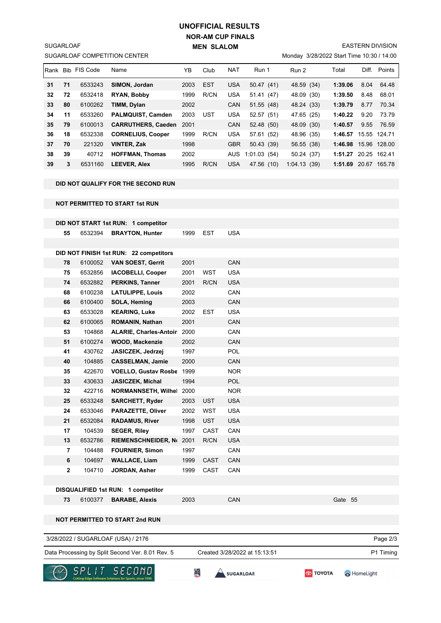# **NOR-AM CUP FINALS MEN SLALOM UNOFFICIAL RESULTS**

SUGARLOAF COMPETITION CENTER SUGARLOAF

EASTERN DIVISION

Monday 3/28/2022 Start Time 10:30 / 14:00

| Rank |    | <b>Bib FIS Code</b> | Name                      | YΒ   | Club       | <b>NAT</b> | Run 1         | Run 2       | Total   | Diff. | Points       |
|------|----|---------------------|---------------------------|------|------------|------------|---------------|-------------|---------|-------|--------------|
| 31   | 71 | 6533243             | SIMON, Jordan             | 2003 | <b>EST</b> | <b>USA</b> | 50.47(41)     | 48.59 (34)  | 1:39.06 | 8.04  | 64.48        |
| 32   | 72 | 6532418             | <b>RYAN, Bobby</b>        | 1999 | R/CN       | <b>USA</b> | 51.41<br>(47) | 48.09 (30)  | 1:39.50 | 8.48  | 68.01        |
| 33   | 80 | 6100262             | TIMM, Dylan               | 2002 |            | <b>CAN</b> | 51.55(48)     | 48.24 (33)  | 1:39.79 | 8.77  | 70.34        |
| 34   | 11 | 6533260             | <b>PALMQUIST, Camden</b>  | 2003 | UST        | <b>USA</b> | 52.57 (51)    | 47.65 (25)  | 1:40.22 | 9.20  | 73.79        |
| 35   | 79 | 6100013             | <b>CARRUTHERS, Caeden</b> | 2001 |            | <b>CAN</b> | 52.48 (50)    | 48.09 (30)  | 1:40.57 | 9.55  | 76.59        |
| 36   | 18 | 6532338             | <b>CORNELIUS, Cooper</b>  | 1999 | R/CN       | <b>USA</b> | 57.61 (52)    | 48.96 (35)  | 1:46.57 |       | 15.55 124.71 |
| 37   | 70 | 221320              | <b>VINTER, Zak</b>        | 1998 |            | <b>GBR</b> | 50.43 (39)    | 56.55 (38)  | 1:46.98 |       | 15.96 128.00 |
| 38   | 39 | 40712               | <b>HOFFMAN. Thomas</b>    | 2002 |            | <b>AUS</b> | 1:01.03(54)   | 50.24 (37)  | 1:51.27 |       | 20.25 162.41 |
| 39   | 3  | 6531160             | <b>LEEVER, Alex</b>       | 1995 | R/CN       | <b>USA</b> | 47.56 (10)    | 1:04.13(39) | 1:51.69 | 20.67 | 165.78       |

### **DID NOT QUALIFY FOR THE SECOND RUN**

**NOT PERMITTED TO START 1st RUN**

|                |         | DID NOT START 1st RUN: 1 competitor    |      |             |            |         |          |
|----------------|---------|----------------------------------------|------|-------------|------------|---------|----------|
| 55             | 6532394 | <b>BRAYTON, Hunter</b>                 | 1999 | <b>EST</b>  | <b>USA</b> |         |          |
|                |         |                                        |      |             |            |         |          |
|                |         | DID NOT FINISH 1st RUN: 22 competitors |      |             |            |         |          |
| 78             | 6100052 | <b>VAN SOEST, Gerrit</b>               | 2001 |             | CAN        |         |          |
| 75             | 6532856 | <b>IACOBELLI, Cooper</b>               | 2001 | <b>WST</b>  | <b>USA</b> |         |          |
| 74             | 6532882 | <b>PERKINS, Tanner</b>                 | 2001 | R/CN        | <b>USA</b> |         |          |
| 68             | 6100238 | <b>LATULIPPE, Louis</b>                | 2002 |             | CAN        |         |          |
| 66             | 6100400 | SOLA, Heming                           | 2003 |             | CAN        |         |          |
| 63             | 6533028 | <b>KEARING, Luke</b>                   | 2002 | EST         | <b>USA</b> |         |          |
| 62             | 6100065 | <b>ROMANIN, Nathan</b>                 | 2001 |             | CAN        |         |          |
| 53             | 104868  | ALARIE, Charles-Antoir 2000            |      |             | CAN        |         |          |
| 51             | 6100274 | <b>WOOD, Mackenzie</b>                 | 2002 |             | CAN        |         |          |
| 41             | 430762  | JASICZEK, Jedrzej                      | 1997 |             | <b>POL</b> |         |          |
| 40             | 104885  | <b>CASSELMAN, Jamie</b>                | 2000 |             | CAN        |         |          |
| 35             | 422670  | VOELLO, Gustav Rosbe 1999              |      |             | <b>NOR</b> |         |          |
| 33             | 430633  | <b>JASICZEK, Michal</b>                | 1994 |             | <b>POL</b> |         |          |
| 32             | 422716  | <b>NORMANNSETH, Wilhel</b>             | 2000 |             | <b>NOR</b> |         |          |
| 25             | 6533248 | <b>SARCHETT, Ryder</b>                 | 2003 | <b>UST</b>  | <b>USA</b> |         |          |
| 24             | 6533046 | <b>PARAZETTE, Oliver</b>               | 2002 | WST         | <b>USA</b> |         |          |
| 21             | 6532084 | <b>RADAMUS, River</b>                  | 1998 | <b>UST</b>  | <b>USA</b> |         |          |
| 17             | 104539  | <b>SEGER, Riley</b>                    | 1997 | CAST        | CAN        |         |          |
| 13             | 6532786 | <b>RIEMENSCHNEIDER, No</b>             | 2001 | R/CN        | <b>USA</b> |         |          |
| $\overline{7}$ | 104488  | <b>FOURNIER, Simon</b>                 | 1997 |             | CAN        |         |          |
| 6              | 104697  | <b>WALLACE, Liam</b>                   | 1999 | <b>CAST</b> | CAN        |         |          |
| $\overline{2}$ | 104710  | JORDAN, Asher                          | 1999 | CAST        | CAN        |         |          |
|                |         |                                        |      |             |            |         |          |
|                |         | DISQUALIFIED 1st RUN: 1 competitor     |      |             |            |         |          |
| 73             | 6100377 | <b>BARABE, Alexis</b>                  | 2003 |             | CAN        | Gate 55 |          |
|                |         |                                        |      |             |            |         |          |
|                |         | <b>NOT PERMITTED TO START 2nd RUN</b>  |      |             |            |         |          |
|                |         |                                        |      |             |            |         |          |
|                |         | 3/28/2022 / SUGARLOAF (USA) / 2176     |      |             |            |         | Page 2/3 |

Data Processing by Split Second Ver. 8.01 Rev. 5 Created 3/28/2022 at 15:13:51 P1 Timing

Created 3/28/2022 at 15:13:51





**SES**